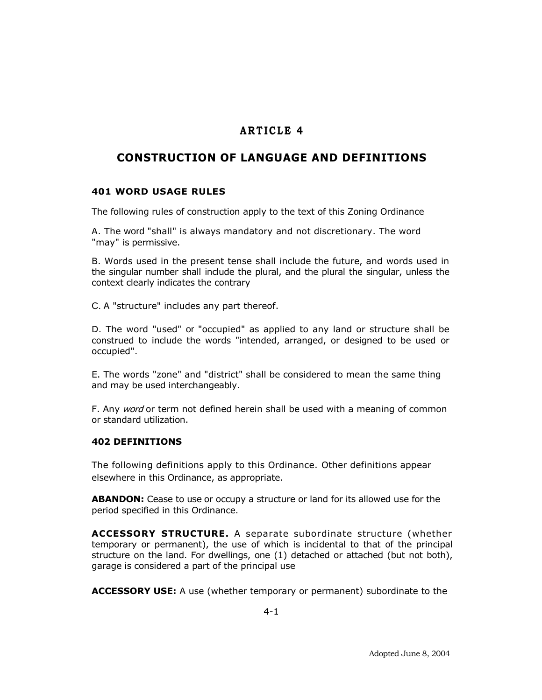## **A R T I C L E 4**

## **CONSTRUCTION OF LANGUAGE AND DEFINITIONS**

## **401 WORD USAGE RULES**

The following rules of construction apply to the text of this Zoning Ordinance

A. The word "shall" is always mandatory and not discretionary. The word "may" is permissive.

B. Words used in the present tense shall include the future, and words used in the singular number shall include the plural, and the plural the singular, unless the context clearly indicates the contrary

C. A "structure" includes any part thereof.

D. The word "used" or "occupied" as applied to any land or structure shall be construed to include the words "intended, arranged, or designed to be used or occupied".

E. The words "zone" and "district" shall be considered to mean the same thing and may be used interchangeably.

F. Any word or term not defined herein shall be used with a meaning of common or standard utilization.

## **402 DEFINITIONS**

The following definitions apply to this Ordinance. Other definitions appear elsewhere in this Ordinance, as appropriate.

**ABANDON:** Cease to use or occupy a structure or land for its allowed use for the period specified in this Ordinance.

**ACCESSORY STRUCTURE.** A separate subordinate structure (whether temporary or permanent), the use of which is incidental to that of the principal structure on the land. For dwellings, one (1) detached or attached (but not both), garage is considered a part of the principal use

**ACCESSORY USE:** A use (whether temporary or permanent) subordinate to the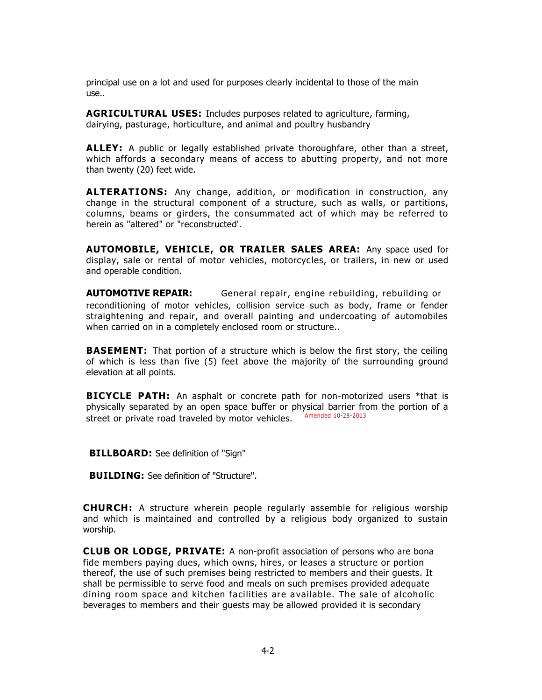principal use on a lot and used for purposes clearly incidental to those of the main use..

**AGRICULTURAL USES:** Includes purposes related to agriculture, farming, dairying, pasturage, horticulture, and animal and poultry husbandry

**ALLEY:** A public or legally established private thoroughfare, other than a street, which affords a secondary means of access to abutting property, and not more than twenty (20) feet wide.

**ALTERATIONS:** Any change, addition, or modification in construction, any change in the structural component of a structure, such as walls, or partitions, columns, beams or girders, the consummated act of which may be referred to herein as "altered" or "reconstructed'.

**AUTOMOBILE, VEHICLE, OR TRAILER SALES AREA:** Any space used for display, sale or rental of motor vehicles, motorcycles, or trailers, in new or used and operable condition.

**AUTOMOTIVE REPAIR:** General repair, engine rebuilding, rebuilding or reconditioning of motor vehicles, collision service such as body, frame or fender straightening and repair, and overall painting and undercoating of automobiles when carried on in a completely enclosed room or structure..

**BASEMENT:** That portion of a structure which is below the first story, the ceiling of which is less than five (5) feet above the majority of the surrounding ground elevation at all points.

**BICYCLE PATH:** An asphalt or concrete path for non-motorized users \*that is physically separated by an open space buffer or physical barrier from the portion of a street or private road traveled by motor vehicles. Amended 10-28-2013

**BILLBOARD:** See definition of "Sign"

**BUILDING:** See definition of "Structure".

**CHURCH:** A structure wherein people regularly assemble for religious worship and which is maintained and controlled by a religious body organized to sustain worship.

**CLUB OR LODGE, PRIVATE:** A non-profit association of persons who are bona fide members paying dues, which owns, hires, or leases a structure or portion thereof, the use of such premises being restricted to members and their guests. It shall be permissible to serve food and meals on such premises provided adequate dining room space and kitchen facilities are a vailable. The sale of alcoholic beverages to members and their guests may be allowed provided it is secondary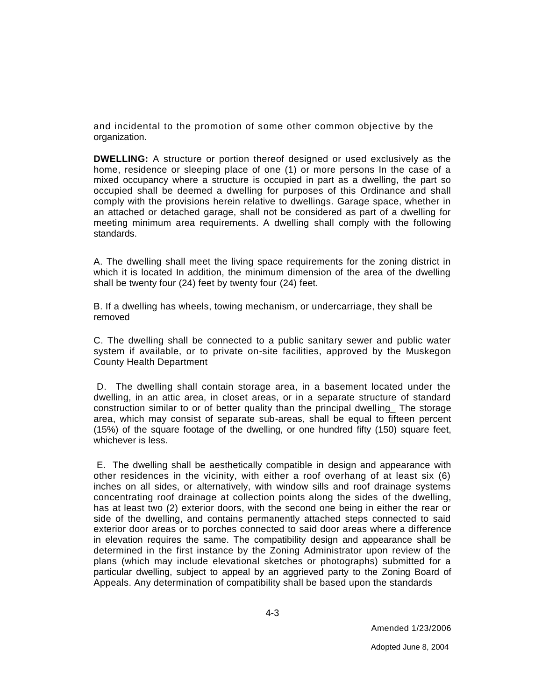and incidental to the promotion of some other common objective by the organization.

**DWELLING:** A structure or portion thereof designed or used exclusively as the home, residence or sleeping place of one (1) or more persons In the case of a mixed occupancy where a structure is occupied in part as a dwelling, the part so occupied shall be deemed a dwelling for purposes of this Ordinance and shall comply with the provisions herein relative to dwellings. Garage space, whether in an attached or detached garage, shall not be considered as part of a dwelling for meeting minimum area requirements. A dwelling shall comply with the following standards.

A. The dwelling shall meet the living space requirements for the zoning district in which it is located In addition, the minimum dimension of the area of the dwelling shall be twenty four (24) feet by twenty four (24) feet.

B. If a dwelling has wheels, towing mechanism, or undercarriage, they shall be removed

C. The dwelling shall be connected to a public sanitary sewer and public water system if available, or to private on-site facilities, approved by the Muskegon County Health Department

D. The dwelling shall contain storage area, in a basement located under the dwelling, in an attic area, in closet areas, or in a separate structure of standard construction similar to or of better quality than the principal dwelling\_ The storage area, which may consist of separate sub-areas, shall be equal to fifteen percent (15%) of the square footage of the dwelling, or one hundred fifty (150) square feet, whichever is less.

E. The dwelling shall be aesthetically compatible in design and appearance with other residences in the vicinity, with either a roof overhang of at least six (6) inches on all sides, or alternatively, with window sills and roof drainage systems concentrating roof drainage at collection points along the sides of the dwelling, has at least two (2) exterior doors, with the second one being in either the rear or side of the dwelling, and contains permanently attached steps connected to said exterior door areas or to porches connected to said door areas where a difference in elevation requires the same. The compatibility design and appearance shall be determined in the first instance by the Zoning Administrator upon review of the plans (which may include elevational sketches or photographs) submitted for a particular dwelling, subject to appeal by an aggrieved party to the Zoning Board of Appeals. Any determination of compatibility shall be based upon the standards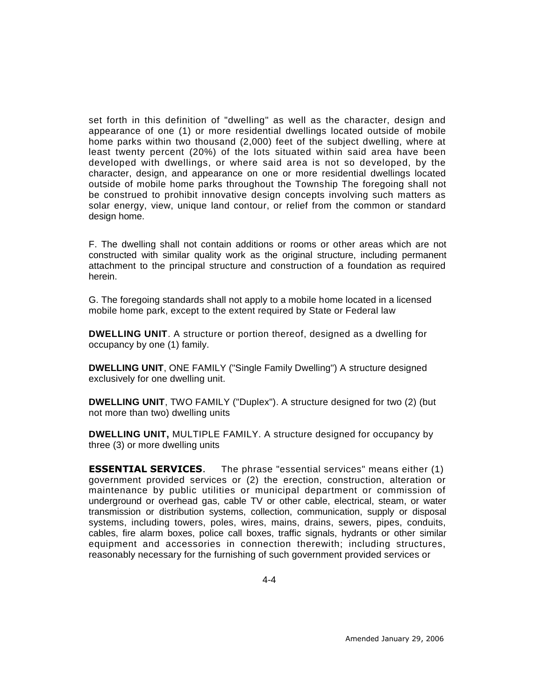set forth in this definition of "dwelling" as well as the character, design and appearance of one (1) or more residential dwellings located outside of mobile home parks within two thousand (2,000) feet of the subject dwelling, where at least twenty percent (20%) of the lots situated within said area have been developed with dwellings, or where said area is not so developed, by the character, design, and appearance on one or more residential dwellings located outside of mobile home parks throughout the Township The foregoing shall not be construed to prohibit innovative design concepts involving such matters as solar energy, view, unique land contour, or relief from the common or standard design home.

F. The dwelling shall not contain additions or rooms or other areas which are not constructed with similar quality work as the original structure, including permanent attachment to the principal structure and construction of a foundation as required herein.

G. The foregoing standards shall not apply to a mobile home located in a licensed mobile home park, except to the extent required by State or Federal law

**DWELLING UNIT**. A structure or portion thereof, designed as a dwelling for occupancy by one (1) family.

**DWELLING UNIT**, ONE FAMILY ("Single Family Dwelling") A structure designed exclusively for one dwelling unit.

**DWELLING UNIT**, TWO FAMILY ("Duplex"). A structure designed for two (2) (but not more than two) dwelling units

**DWELLING UNIT,** MULTIPLE FAMILY. A structure designed for occupancy by three (3) or more dwelling units

**ESSENTIAL SERVICES**. The phrase "essential services" means either (1) government provided services or (2) the erection, construction, alteration or maintenance by public utilities or municipal department or commission of underground or overhead gas, cable TV or other cable, electrical, steam, or water transmission or distribution systems, collection, communication, supply or disposal systems, including towers, poles, wires, mains, drains, sewers, pipes, conduits, cables, fire alarm boxes, police call boxes, traffic signals, hydrants or other similar equipment and accessories in connection therewith; including structures, reasonably necessary for the furnishing of such government provided services or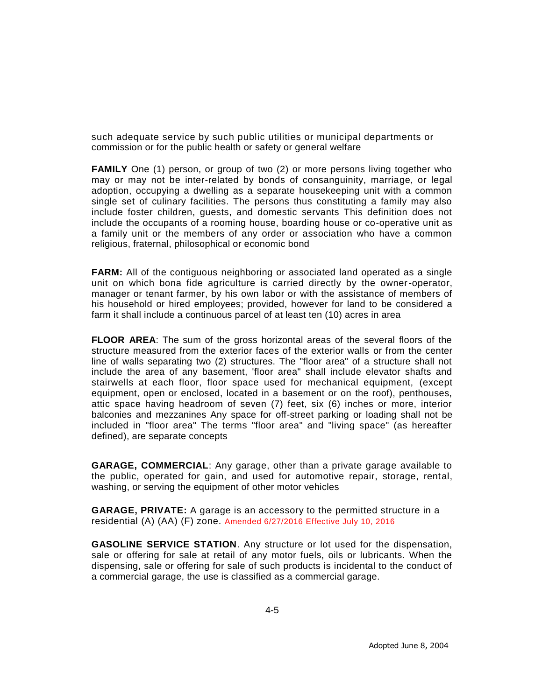such adequate service by such public utilities or municipal departments or commission or for the public health or safety or general welfare

**FAMILY** One (1) person, or group of two (2) or more persons living together who may or may not be inter-related by bonds of consanguinity, marriage, or legal adoption, occupying a dwelling as a separate housekeeping unit with a common single set of culinary facilities. The persons thus constituting a family may also include foster children, guests, and domestic servants This definition does not include the occupants of a rooming house, boarding house or co-operative unit as a family unit or the members of any order or association who have a common religious, fraternal, philosophical or economic bond

**FARM:** All of the contiguous neighboring or associated land operated as a single unit on which bona fide agriculture is carried directly by the owner-operator, manager or tenant farmer, by his own labor or with the assistance of members of his household or hired employees; provided, however for land to be considered a farm it shall include a continuous parcel of at least ten (10) acres in area

**FLOOR AREA**: The sum of the gross horizontal areas of the several floors of the structure measured from the exterior faces of the exterior walls or from the center line of walls separating two (2) structures. The "floor area" of a structure shall not include the area of any basement, 'floor area" shall include elevator shafts and stairwells at each floor, floor space used for mechanical equipment, (except equipment, open or enclosed, located in a basement or on the roof), penthouses, attic space having headroom of seven (7) feet, six (6) inches or more, interior balconies and mezzanines Any space for off-street parking or loading shall not be included in "floor area" The terms "floor area" and "living space" (as hereafter defined), are separate concepts

**GARAGE, COMMERCIAL**: Any garage, other than a private garage available to the public, operated for gain, and used for automotive repair, storage, rental, washing, or serving the equipment of other motor vehicles

**GARAGE, PRIVATE:** A garage is an accessory to the permitted structure in a residential (A) (AA) (F) zone. Amended 6/27/2016 Effective July 10, 2016

**GASOLINE SERVICE STATION**. Any structure or lot used for the dispensation, sale or offering for sale at retail of any motor fuels, oils or lubricants. When the dispensing, sale or offering for sale of such products is incidental to the conduct of a commercial garage, the use is classified as a commercial garage.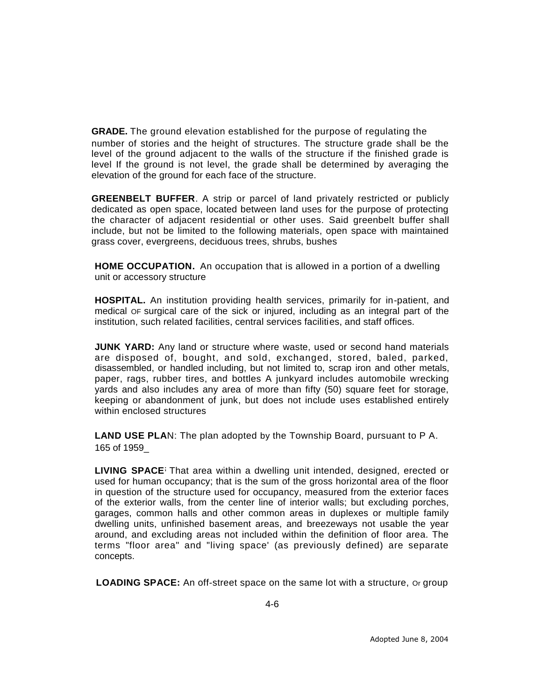**GRADE.** The ground elevation established for the purpose of regulating the number of stories and the height of structures. The structure grade shall be the level of the ground adjacent to the walls of the structure if the finished grade is level If the ground is not level, the grade shall be determined by averaging the elevation of the ground for each face of the structure.

**GREENBELT BUFFER**. A strip or parcel of land privately restricted or publicly dedicated as open space, located between land uses for the purpose of protecting the character of adjacent residential or other uses. Said greenbelt buffer shall include, but not be limited to the following materials, open space with maintained grass cover, evergreens, deciduous trees, shrubs, bushes

**HOME OCCUPATION.** An occupation that is allowed in a portion of a dwelling unit or accessory structure

**HOSPITAL.** An institution providing health services, primarily for in-patient, and medical OF surgical care of the sick or injured, including as an integral part of the institution, such related facilities, central services facilities, and staff offices.

**JUNK YARD:** Any land or structure where waste, used or second hand materials are disposed of, bought, and sold, exchanged, stored, baled, parked, disassembled, or handled including, but not limited to, scrap iron and other metals, paper, rags, rubber tires, and bottles A junkyard includes automobile wrecking yards and also includes any area of more than fifty (50) square feet for storage, keeping or abandonment of junk, but does not include uses established entirely within enclosed structures

**LAND USE PLA**N: The plan adopted by the Township Board, pursuant to P A. 165 of 1959\_

**LIVING SPACE;** That area within a dwelling unit intended, designed, erected or used for human occupancy; that is the sum of the gross horizontal area of the floor in question of the structure used for occupancy, measured from the exterior faces of the exterior walls, from the center line of interior walls; but excluding porches, garages, common halls and other common areas in duplexes or multiple family dwelling units, unfinished basement areas, and breezeways not usable the year around, and excluding areas not included within the definition of floor area. The terms "floor area" and "living space' (as previously defined) are separate concepts.

**LOADING SPACE:** An off-street space on the same lot with a structure, or group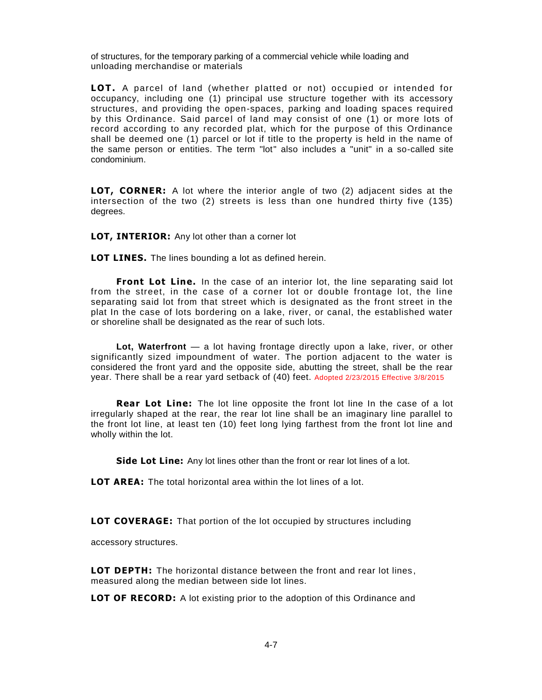of structures, for the temporary parking of a commercial vehicle while loading and unloading merchandise or materials

**LOT.** A parcel of land (whether platted or not) occupied or intended for occupancy, including one (1) principal use structure together with its accessory structures, and providing the open-spaces, parking and loading spaces required by this Ordinance. Said parcel of land may consist of one (1) or more lots of record according to any recorded plat, which for the purpose of this Ordinance shall be deemed one (1) parcel or lot if title to the property is held in the name of the same person or entities. The term "lot" also includes a "unit" in a so-called site condominium.

**LOT, CORNER:** A lot where the interior angle of two (2) adjacent sides at the intersection of the two (2) streets is less than one hundred thirty five (135) degrees.

**LOT, INTERIOR:** Any lot other than a corner lot

**LOT LINES.** The lines bounding a lot as defined herein.

**Front Lot Line.** In the case of an interior lot, the line separating said lot from the street, in the case of a corner lot or double frontage lot, the line separating said lot from that street which is designated as the front street in the plat In the case of lots bordering on a lake, river, or canal, the established water or shoreline shall be designated as the rear of such lots.

**Lot, Waterfront** — a lot having frontage directly upon a lake, river, or other significantly sized impoundment of water. The portion adjacent to the water is considered the front yard and the opposite side, abutting the street, shall be the rear year. There shall be a rear yard setback of (40) feet. Adopted 2/23/2015 Effective 3/8/2015

**Rear Lot Line:** The lot line opposite the front lot line In the case of a lot irregularly shaped at the rear, the rear lot line shall be an imaginary line parallel to the front lot line, at least ten (10) feet long lying farthest from the front lot line and wholly within the lot.

**Side Lot Line:** Any lot lines other than the front or rear lot lines of a lot.

**LOT AREA:** The total horizontal area within the lot lines of a lot.

**LOT COVERAGE:** That portion of the lot occupied by structures including

accessory structures.

**LOT DEPTH:** The horizontal distance between the front and rear lot lines , measured along the median between side lot lines.

**LOT OF RECORD:** A lot existing prior to the adoption of this Ordinance and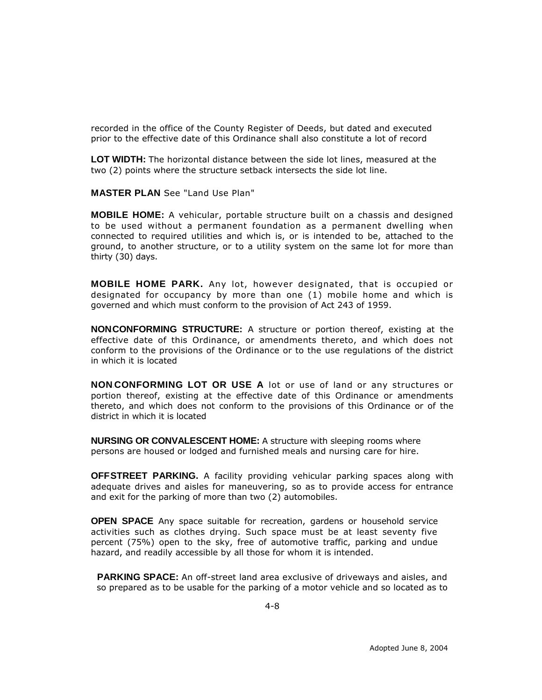recorded in the office of the County Register of Deeds, but dated and executed prior to the effective date of this Ordinance shall also constitute a lot of record

**LOT WIDTH:** The horizontal distance between the side lot lines, measured at the two (2) points where the structure setback intersects the side lot line.

**MASTER PLAN** See "Land Use Plan"

**MOBILE HOME:** A vehicular, portable structure built on a chassis and designed to be used without a permanent foundation as a permanent dwelling when connected to required utilities and which is, or is intended to be, attached to the ground, to another structure, or to a utility system on the same lot for more than thirty (30) days.

**MOBILE HOME PARK.** Any lot, however designated, that is occupied or designated for occupancy by more than one (1) mobile home and which is governed and which must conform to the provision of Act 243 of 1959.

**NON-CONFORMING STRUCTURE:** A structure or portion thereof, existing at the effective date of this Ordinance, or amendments thereto, and which does not conform to the provisions of the Ordinance or to the use regulations of the district in which it is located

**NON-CONFORMING LOT OR USE A** lot or use of land or any structures or portion thereof, existing at the effective date of this Ordinance or amendments thereto, and which does not conform to the provisions of this Ordinance or of the district in which it is located

**NURSING OR CONVALESCENT HOME:** A structure with sleeping rooms where persons are housed or lodged and furnished meals and nursing care for hire.

**OFF-STREET PARKING.** A facility providing vehicular parking spaces along with adequate drives and aisles for maneuvering, so as to provide access for entrance and exit for the parking of more than two (2) automobiles.

**OPEN SPACE** Any space suitable for recreation, gardens or household service activities such as clothes drying. Such space must be at least seventy five percent (75%) open to the sky, free of automotive traffic, parking and undue hazard, and readily accessible by all those for whom it is intended.

**PARKING SPACE:** An off-street land area exclusive of driveways and aisles, and so prepared as to be usable for the parking of a motor vehicle and so located as to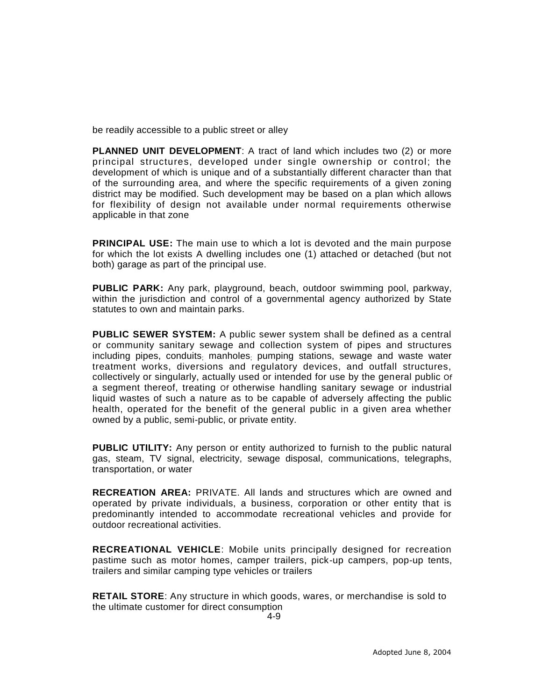be readily accessible to a public street or alley

**PLANNED UNIT DEVELOPMENT**: A tract of land which includes two (2) or more principal structures, developed under single ownership or control; the development of which is unique and of a substantially different character than that of the surrounding area, and where the specific requirements of a given zoning district may be modified. Such development may be based on a plan which allows for flexibility of design not available under normal requirements otherwise applicable in that zone

**PRINCIPAL USE:** The main use to which a lot is devoted and the main purpose for which the lot exists A dwelling includes one (1) attached or detached (but not both) garage as part of the principal use.

**PUBLIC PARK:** Any park, playground, beach, outdoor swimming pool, parkway, within the jurisdiction and control of a governmental agency authorized by State statutes to own and maintain parks.

**PUBLIC SEWER SYSTEM:** A public sewer system shall be defined as a central or community sanitary sewage and collection system of pipes and structures including pipes, conduits; manholes; pumping stations, sewage and waste water treatment works, diversions and regulatory devices, and outfall structures, collectively or singularly, actually used or intended for use by the general public Of a segment thereof, treating Of otherwise handling sanitary sewage or industrial liquid wastes of such a nature as to be capable of adversely affecting the public health, operated for the benefit of the general public in a given area whether owned by a public, semi-public, or private entity.

**PUBLIC UTILITY:** Any person or entity authorized to furnish to the public natural gas, steam, TV signal, electricity, sewage disposal, communications, telegraphs, transportation, or water

**RECREATION AREA:** PRIVATE. All lands and structures which are owned and operated by private individuals, a business, corporation or other entity that is predominantly intended to accommodate recreational vehicles and provide for outdoor recreational activities.

**RECREATIONAL VEHICLE**: Mobile units principally designed for recreation pastime such as motor homes, camper trailers, pick-up campers, pop-up tents, trailers and similar camping type vehicles or trailers

**RETAIL STORE**: Any structure in which goods, wares, or merchandise is sold to the ultimate customer for direct consumption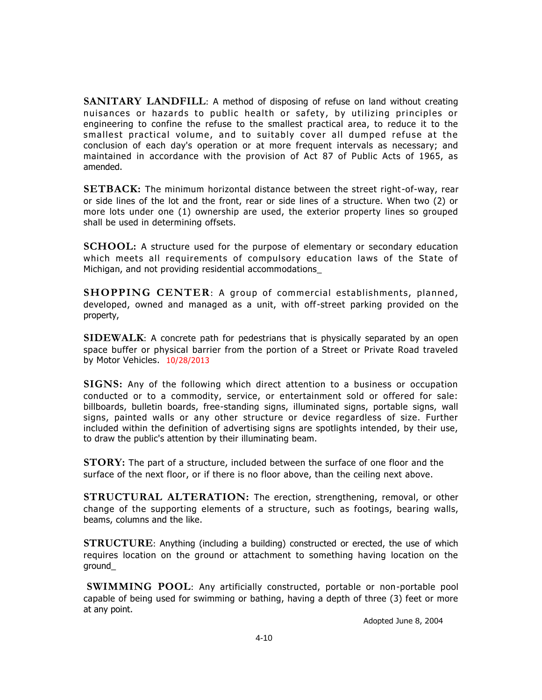**SANITARY LANDFILL**: A method of disposing of refuse on land without creating nuisances or hazards to public health or safety, by utilizing principles or engineering to confine the refuse to the smallest practical area, to reduce it to the smallest practical volume, and to suitably cover all dumped refuse at the conclusion of each day's operation or at more frequent intervals as necessary; and maintained in accordance with the provision of Act 87 of Public Acts of 1965, as amended.

**SETBACK:** The minimum horizontal distance between the street right-of-way, rear or side lines of the lot and the front, rear or side lines of a structure. When two (2) or more lots under one (1) ownership are used, the exterior property lines so grouped shall be used in determining offsets.

**SCHOOL:** A structure used for the purpose of elementary or secondary education which meets all requirements of compulsory education laws of the State of Michigan, and not providing residential accommodations\_

**SHOPPING CENTER**: A group of commercial establishments, planned, developed, owned and managed as a unit, with off-street parking provided on the property,

**SIDEWALK**: A concrete path for pedestrians that is physically separated by an open space buffer or physical barrier from the portion of a Street or Private Road traveled by Motor Vehicles. 10/28/2013

**SIGNS:** Any of the following which direct attention to a business or occupation conducted or to a commodity, service, or entertainment sold or offered for sale: billboards, bulletin boards, free-standing signs, illuminated signs, portable signs, wall signs, painted walls or any other structure or device regardless of size. Further included within the definition of advertising signs are spotlights intended, by their use, to draw the public's attention by their illuminating beam.

**STORY:** The part of a structure, included between the surface of one floor and the surface of the next floor, or if there is no floor above, than the ceiling next above.

**STRUCTURAL ALTERATION:** The erection, strengthening, removal, or other change of the supporting elements of a structure, such as footings, bearing walls, beams, columns and the like.

**STRUCTURE**: Anything (including a building) constructed or erected, the use of which requires location on the ground or attachment to something having location on the ground\_

**SWIMMING POOL**: Any artificially constructed, portable or non-portable pool capable of being used for swimming or bathing, having a depth of three (3) feet or more at any point.